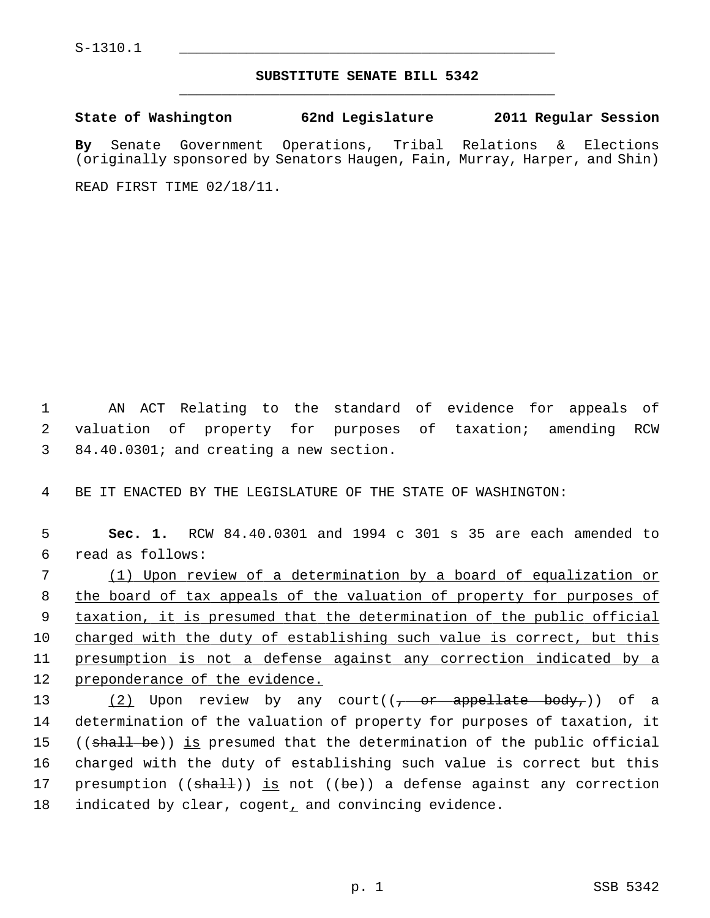## **SUBSTITUTE SENATE BILL 5342** \_\_\_\_\_\_\_\_\_\_\_\_\_\_\_\_\_\_\_\_\_\_\_\_\_\_\_\_\_\_\_\_\_\_\_\_\_\_\_\_\_\_\_\_\_

**State of Washington 62nd Legislature 2011 Regular Session By** Senate Government Operations, Tribal Relations & Elections (originally sponsored by Senators Haugen, Fain, Murray, Harper, and Shin) READ FIRST TIME 02/18/11.

 1 AN ACT Relating to the standard of evidence for appeals of 2 valuation of property for purposes of taxation; amending RCW 3 84.40.0301; and creating a new section.

4 BE IT ENACTED BY THE LEGISLATURE OF THE STATE OF WASHINGTON:

 **Sec. 1.** RCW 84.40.0301 and 1994 c 301 s 35 are each amended to 6 read as follows: (1) Upon review of a determination by a board of equalization or the board of tax appeals of the valuation of property for purposes of taxation, it is presumed that the determination of the public official charged with the duty of establishing such value is correct, but this presumption is not a defense against any correction indicated by a 12 preponderance of the evidence.  $(2)$  Upon review by any court( $(-$  or appellate body,)) of a

14 determination of the valuation of property for purposes of taxation, it 15 ((shall be)) is presumed that the determination of the public official 16 charged with the duty of establishing such value is correct but this 17 presumption  $((\text{sha11}))$  is not  $((\text{be}))$  a defense against any correction 18 indicated by clear, cogent, and convincing evidence.